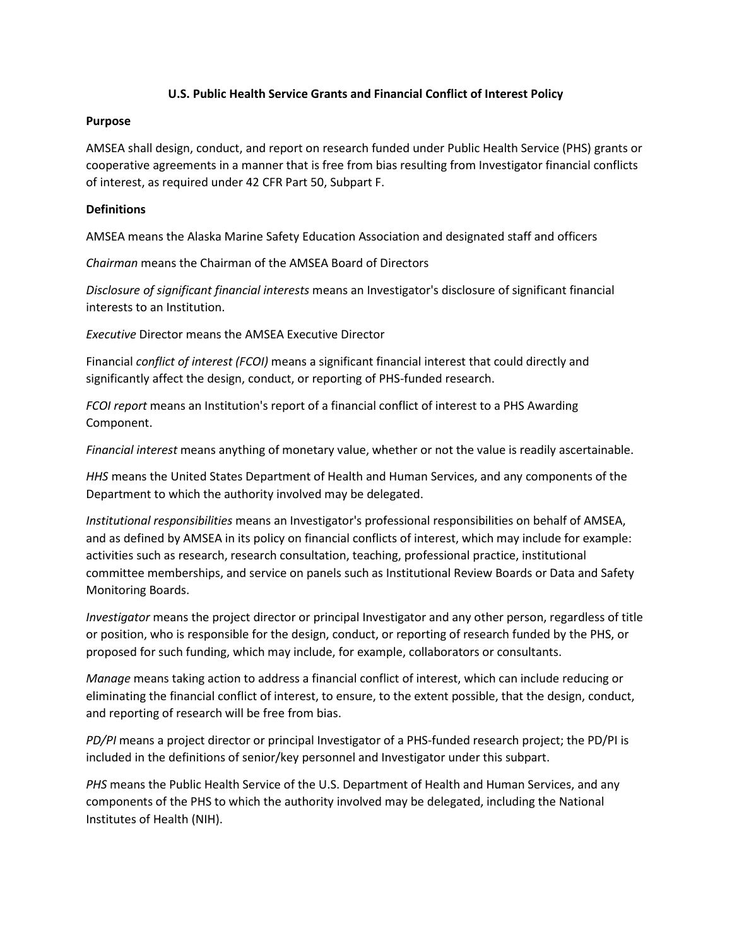### **U.S. Public Health Service Grants and Financial Conflict of Interest Policy**

#### **Purpose**

AMSEA shall design, conduct, and report on research funded under Public Health Service (PHS) grants or cooperative agreements in a manner that is free from bias resulting from Investigator financial conflicts of interest, as required under 42 CFR Part 50, Subpart F.

### **Definitions**

AMSEA means the Alaska Marine Safety Education Association and designated staff and officers

*Chairman* means the Chairman of the AMSEA Board of Directors

*Disclosure of significant financial interests* means an Investigator's disclosure of significant financial interests to an Institution.

*Executive* Director means the AMSEA Executive Director

Financial *conflict of interest (FCOI)* means a significant financial interest that could directly and significantly affect the design, conduct, or reporting of PHS-funded research.

*FCOI report* means an Institution's report of a financial conflict of interest to a PHS Awarding Component.

*Financial interest* means anything of monetary value, whether or not the value is readily ascertainable.

*HHS* means the United States Department of Health and Human Services, and any components of the Department to which the authority involved may be delegated.

*Institutional responsibilities* means an Investigator's professional responsibilities on behalf of AMSEA, and as defined by AMSEA in its policy on financial conflicts of interest, which may include for example: activities such as research, research consultation, teaching, professional practice, institutional committee memberships, and service on panels such as Institutional Review Boards or Data and Safety Monitoring Boards.

*Investigator* means the project director or principal Investigator and any other person, regardless of title or position, who is responsible for the design, conduct, or reporting of research funded by the PHS, or proposed for such funding, which may include, for example, collaborators or consultants.

*Manage* means taking action to address a financial conflict of interest, which can include reducing or eliminating the financial conflict of interest, to ensure, to the extent possible, that the design, conduct, and reporting of research will be free from bias.

*PD/PI* means a project director or principal Investigator of a PHS-funded research project; the PD/PI is included in the definitions of senior/key personnel and Investigator under this subpart.

*PHS* means the Public Health Service of the U.S. Department of Health and Human Services, and any components of the PHS to which the authority involved may be delegated, including the National Institutes of Health (NIH).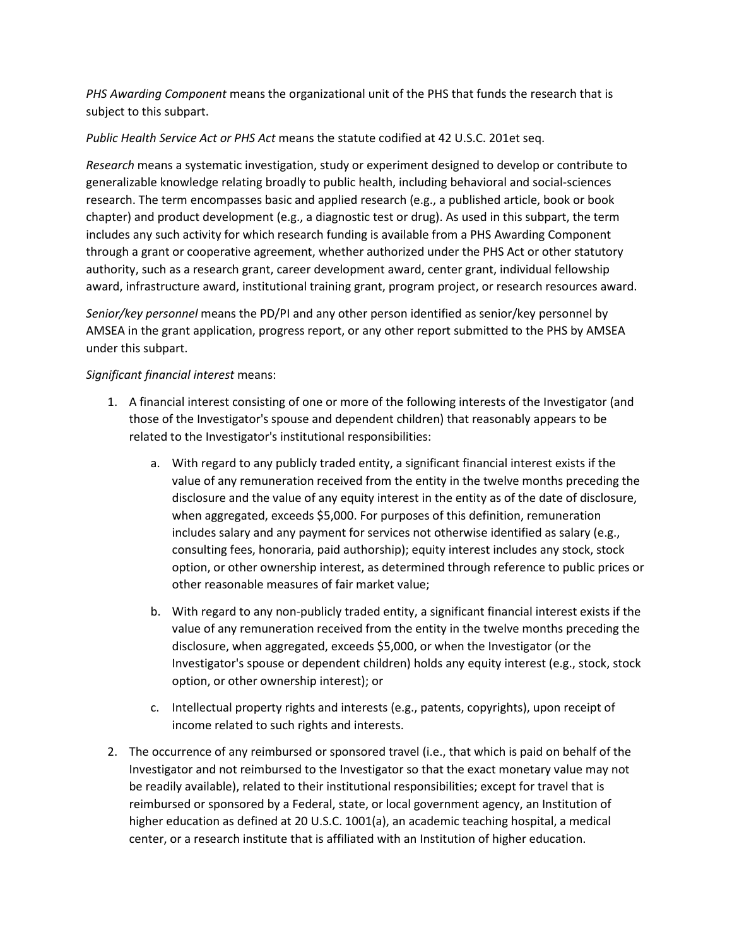*PHS Awarding Component* means the organizational unit of the PHS that funds the research that is subject to this subpart.

*Public Health Service Act or PHS Act* means the statute codified at 42 U.S.C. 201et seq.

*Research* means a systematic investigation, study or experiment designed to develop or contribute to generalizable knowledge relating broadly to public health, including behavioral and social-sciences research. The term encompasses basic and applied research (e.g., a published article, book or book chapter) and product development (e.g., a diagnostic test or drug). As used in this subpart, the term includes any such activity for which research funding is available from a PHS Awarding Component through a grant or cooperative agreement, whether authorized under the PHS Act or other statutory authority, such as a research grant, career development award, center grant, individual fellowship award, infrastructure award, institutional training grant, program project, or research resources award.

*Senior/key personnel* means the PD/PI and any other person identified as senior/key personnel by AMSEA in the grant application, progress report, or any other report submitted to the PHS by AMSEA under this subpart.

# *Significant financial interest* means:

- 1. A financial interest consisting of one or more of the following interests of the Investigator (and those of the Investigator's spouse and dependent children) that reasonably appears to be related to the Investigator's institutional responsibilities:
	- a. With regard to any publicly traded entity, a significant financial interest exists if the value of any remuneration received from the entity in the twelve months preceding the disclosure and the value of any equity interest in the entity as of the date of disclosure, when aggregated, exceeds \$5,000. For purposes of this definition, remuneration includes salary and any payment for services not otherwise identified as salary (e.g., consulting fees, honoraria, paid authorship); equity interest includes any stock, stock option, or other ownership interest, as determined through reference to public prices or other reasonable measures of fair market value;
	- b. With regard to any non-publicly traded entity, a significant financial interest exists if the value of any remuneration received from the entity in the twelve months preceding the disclosure, when aggregated, exceeds \$5,000, or when the Investigator (or the Investigator's spouse or dependent children) holds any equity interest (e.g., stock, stock option, or other ownership interest); or
	- c. Intellectual property rights and interests (e.g., patents, copyrights), upon receipt of income related to such rights and interests.
- 2. The occurrence of any reimbursed or sponsored travel (i.e., that which is paid on behalf of the Investigator and not reimbursed to the Investigator so that the exact monetary value may not be readily available), related to their institutional responsibilities; except for travel that is reimbursed or sponsored by a Federal, state, or local government agency, an Institution of higher education as defined at 20 U.S.C. 1001(a), an academic teaching hospital, a medical center, or a research institute that is affiliated with an Institution of higher education.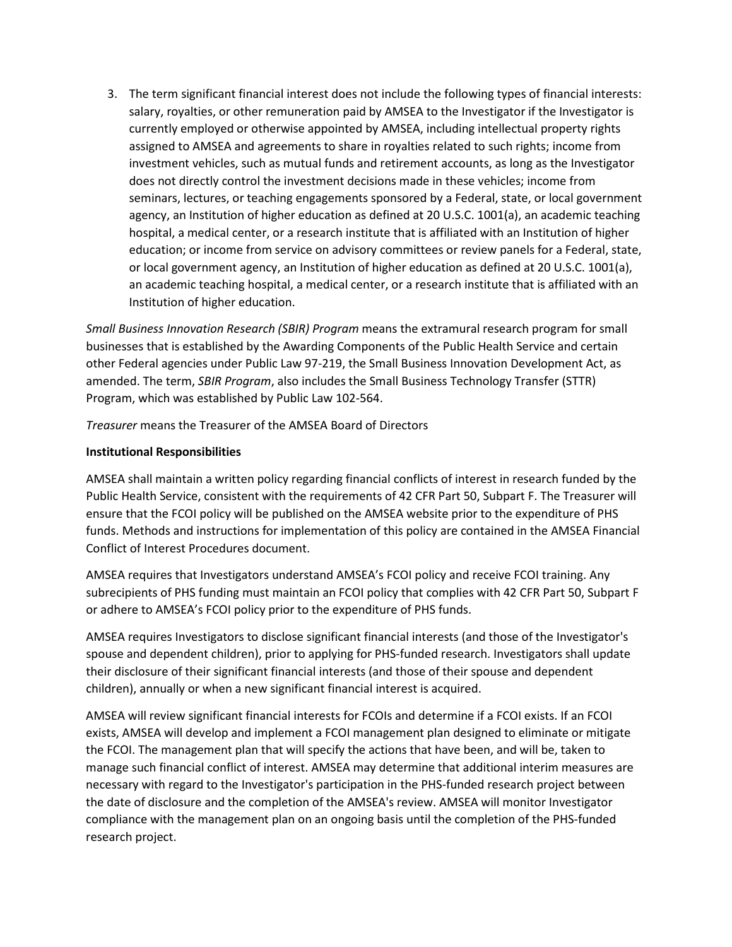3. The term significant financial interest does not include the following types of financial interests: salary, royalties, or other remuneration paid by AMSEA to the Investigator if the Investigator is currently employed or otherwise appointed by AMSEA, including intellectual property rights assigned to AMSEA and agreements to share in royalties related to such rights; income from investment vehicles, such as mutual funds and retirement accounts, as long as the Investigator does not directly control the investment decisions made in these vehicles; income from seminars, lectures, or teaching engagements sponsored by a Federal, state, or local government agency, an Institution of higher education as defined at 20 U.S.C. 1001(a), an academic teaching hospital, a medical center, or a research institute that is affiliated with an Institution of higher education; or income from service on advisory committees or review panels for a Federal, state, or local government agency, an Institution of higher education as defined at 20 U.S.C. 1001(a), an academic teaching hospital, a medical center, or a research institute that is affiliated with an Institution of higher education.

*Small Business Innovation Research (SBIR) Program* means the extramural research program for small businesses that is established by the Awarding Components of the Public Health Service and certain other Federal agencies under Public Law 97-219, the Small Business Innovation Development Act, as amended. The term, *SBIR Program*, also includes the Small Business Technology Transfer (STTR) Program, which was established by Public Law 102-564.

*Treasurer* means the Treasurer of the AMSEA Board of Directors

# **Institutional Responsibilities**

AMSEA shall maintain a written policy regarding financial conflicts of interest in research funded by the Public Health Service, consistent with the requirements of 42 CFR Part 50, Subpart F. The Treasurer will ensure that the FCOI policy will be published on the AMSEA website prior to the expenditure of PHS funds. Methods and instructions for implementation of this policy are contained in the AMSEA Financial Conflict of Interest Procedures document.

AMSEA requires that Investigators understand AMSEA's FCOI policy and receive FCOI training. Any subrecipients of PHS funding must maintain an FCOI policy that complies with 42 CFR Part 50, Subpart F or adhere to AMSEA's FCOI policy prior to the expenditure of PHS funds.

AMSEA requires Investigators to disclose significant financial interests (and those of the Investigator's spouse and dependent children), prior to applying for PHS-funded research. Investigators shall update their disclosure of their significant financial interests (and those of their spouse and dependent children), annually or when a new significant financial interest is acquired.

AMSEA will review significant financial interests for FCOIs and determine if a FCOI exists. If an FCOI exists, AMSEA will develop and implement a FCOI management plan designed to eliminate or mitigate the FCOI. The management plan that will specify the actions that have been, and will be, taken to manage such financial conflict of interest. AMSEA may determine that additional interim measures are necessary with regard to the Investigator's participation in the PHS-funded research project between the date of disclosure and the completion of the AMSEA's review. AMSEA will monitor Investigator compliance with the management plan on an ongoing basis until the completion of the PHS-funded research project.